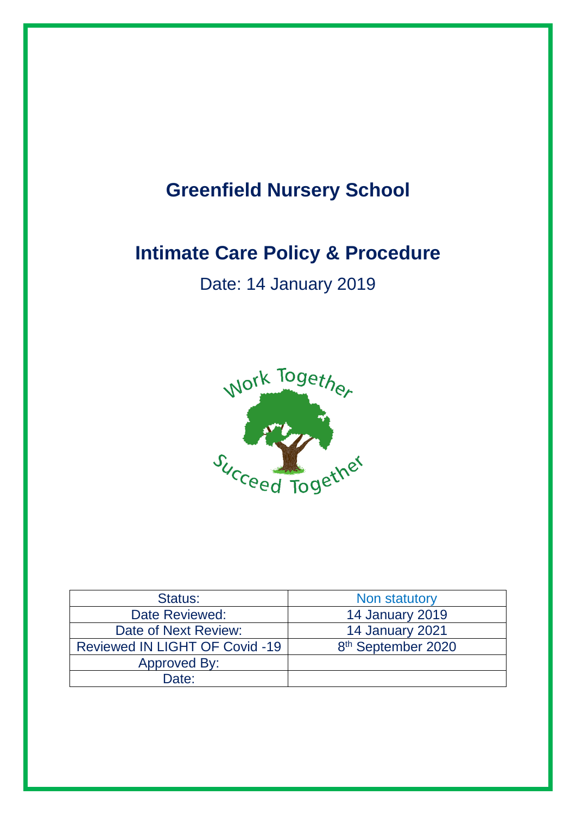# **Greenfield Nursery School**

# **Intimate Care Policy & Procedure**

# Date: 14 January 2019



| Status:                               | Non statutory                  |
|---------------------------------------|--------------------------------|
| Date Reviewed:                        | <b>14 January 2019</b>         |
| Date of Next Review:                  | 14 January 2021                |
| <b>Reviewed IN LIGHT OF Covid -19</b> | 8 <sup>th</sup> September 2020 |
| <b>Approved By:</b>                   |                                |
| Date:                                 |                                |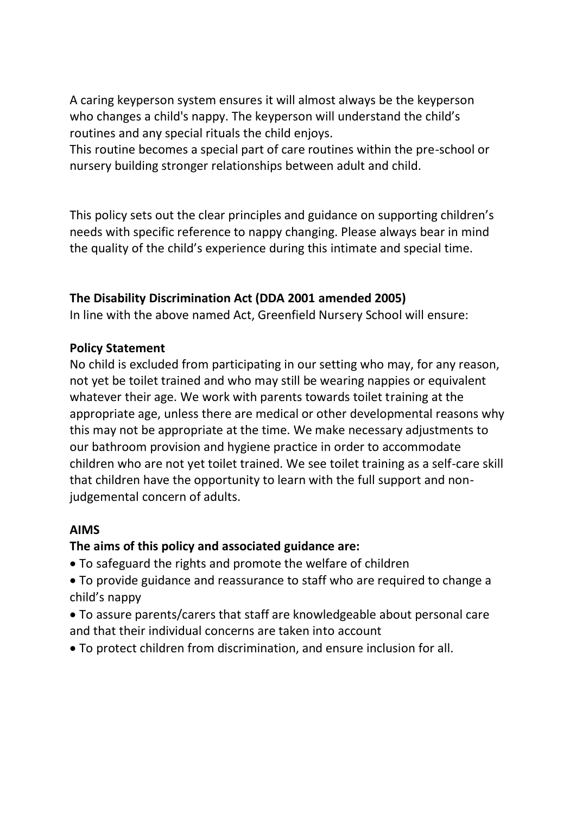A caring keyperson system ensures it will almost always be the keyperson who changes a child's nappy. The keyperson will understand the child's routines and any special rituals the child enjoys.

This routine becomes a special part of care routines within the pre-school or nursery building stronger relationships between adult and child.

This policy sets out the clear principles and guidance on supporting children's needs with specific reference to nappy changing. Please always bear in mind the quality of the child's experience during this intimate and special time.

# **The Disability Discrimination Act (DDA 2001 amended 2005)**

In line with the above named Act, Greenfield Nursery School will ensure:

#### **Policy Statement**

No child is excluded from participating in our setting who may, for any reason, not yet be toilet trained and who may still be wearing nappies or equivalent whatever their age. We work with parents towards toilet training at the appropriate age, unless there are medical or other developmental reasons why this may not be appropriate at the time. We make necessary adjustments to our bathroom provision and hygiene practice in order to accommodate children who are not yet toilet trained. We see toilet training as a self-care skill that children have the opportunity to learn with the full support and nonjudgemental concern of adults.

# **AIMS**

# **The aims of this policy and associated guidance are:**

- To safeguard the rights and promote the welfare of children
- To provide guidance and reassurance to staff who are required to change a child's nappy
- To assure parents/carers that staff are knowledgeable about personal care and that their individual concerns are taken into account
- To protect children from discrimination, and ensure inclusion for all.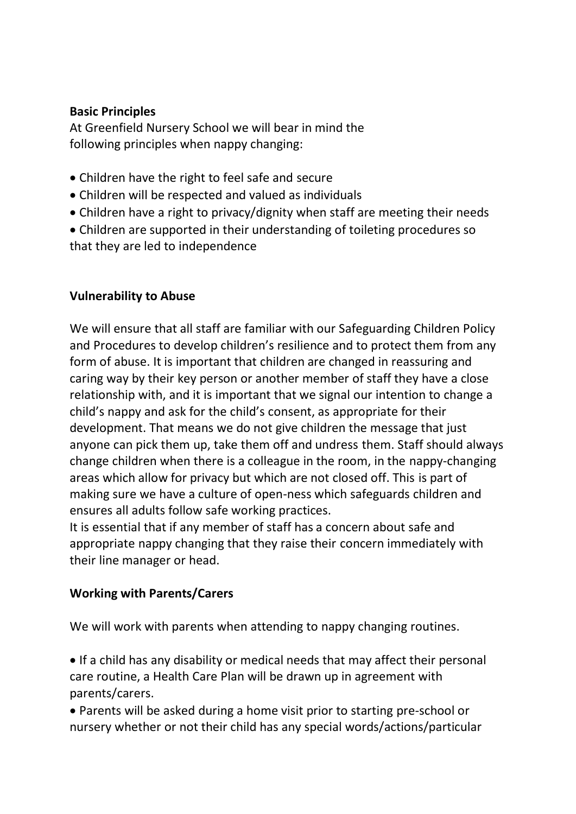#### **Basic Principles**

At Greenfield Nursery School we will bear in mind the following principles when nappy changing:

- Children have the right to feel safe and secure
- Children will be respected and valued as individuals
- Children have a right to privacy/dignity when staff are meeting their needs
- Children are supported in their understanding of toileting procedures so that they are led to independence

# **Vulnerability to Abuse**

We will ensure that all staff are familiar with our Safeguarding Children Policy and Procedures to develop children's resilience and to protect them from any form of abuse. It is important that children are changed in reassuring and caring way by their key person or another member of staff they have a close relationship with, and it is important that we signal our intention to change a child's nappy and ask for the child's consent, as appropriate for their development. That means we do not give children the message that just anyone can pick them up, take them off and undress them. Staff should always change children when there is a colleague in the room, in the nappy-changing areas which allow for privacy but which are not closed off. This is part of making sure we have a culture of open-ness which safeguards children and ensures all adults follow safe working practices.

It is essential that if any member of staff has a concern about safe and appropriate nappy changing that they raise their concern immediately with their line manager or head.

# **Working with Parents/Carers**

We will work with parents when attending to nappy changing routines.

• If a child has any disability or medical needs that may affect their personal care routine, a Health Care Plan will be drawn up in agreement with parents/carers.

• Parents will be asked during a home visit prior to starting pre-school or nursery whether or not their child has any special words/actions/particular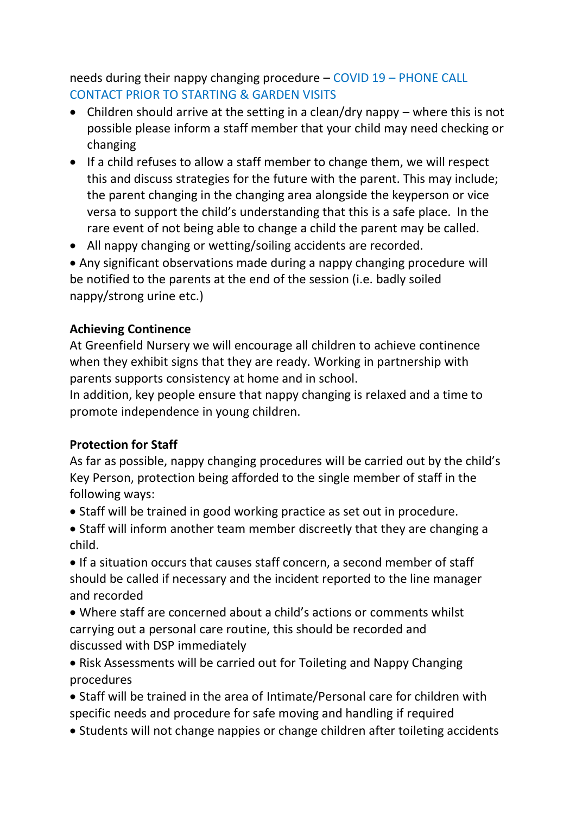needs during their nappy changing procedure – COVID 19 – PHONE CALL CONTACT PRIOR TO STARTING & GARDEN VISITS

- Children should arrive at the setting in a clean/dry nappy where this is not possible please inform a staff member that your child may need checking or changing
- If a child refuses to allow a staff member to change them, we will respect this and discuss strategies for the future with the parent. This may include; the parent changing in the changing area alongside the keyperson or vice versa to support the child's understanding that this is a safe place. In the rare event of not being able to change a child the parent may be called.
- All nappy changing or wetting/soiling accidents are recorded.

• Any significant observations made during a nappy changing procedure will be notified to the parents at the end of the session (i.e. badly soiled nappy/strong urine etc.)

# **Achieving Continence**

At Greenfield Nursery we will encourage all children to achieve continence when they exhibit signs that they are ready. Working in partnership with parents supports consistency at home and in school.

In addition, key people ensure that nappy changing is relaxed and a time to promote independence in young children.

# **Protection for Staff**

As far as possible, nappy changing procedures will be carried out by the child's Key Person, protection being afforded to the single member of staff in the following ways:

- Staff will be trained in good working practice as set out in procedure.
- Staff will inform another team member discreetly that they are changing a child.

• If a situation occurs that causes staff concern, a second member of staff should be called if necessary and the incident reported to the line manager and recorded

• Where staff are concerned about a child's actions or comments whilst carrying out a personal care routine, this should be recorded and discussed with DSP immediately

• Risk Assessments will be carried out for Toileting and Nappy Changing procedures

• Staff will be trained in the area of Intimate/Personal care for children with specific needs and procedure for safe moving and handling if required

• Students will not change nappies or change children after toileting accidents